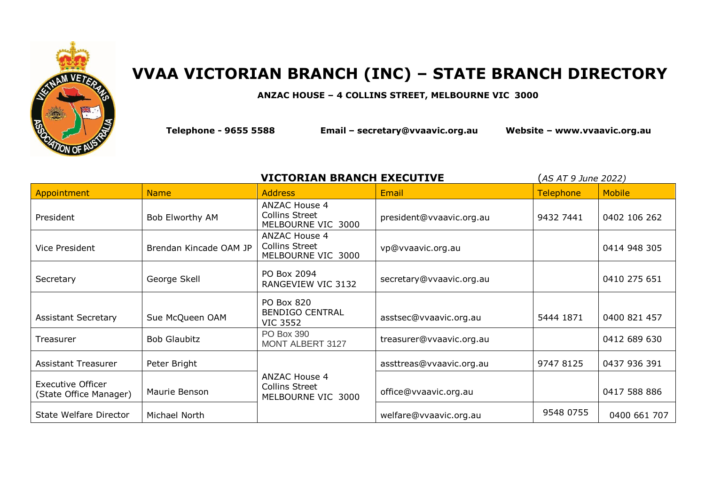

## **VVAA VICTORIAN BRANCH (INC) – STATE BRANCH DIRECTORY**

## **ANZAC HOUSE – 4 COLLINS STREET, MELBOURNE VIC 3000**

**Telephone - 9655 5588 Email – [secretary@vvaavic.org.au](mailto:secretary@vvaavic.org.au) Website – [www.vvaavic.org.au](http://www.vvaavic.org.au/)**

| <b>VICTORIAN BRANCH EXECUTIVE</b><br>(AS AT 9 June 2022) |                        |                                                                     |                          |                  |               |
|----------------------------------------------------------|------------------------|---------------------------------------------------------------------|--------------------------|------------------|---------------|
| Appointment                                              | <b>Name</b>            | <b>Address</b>                                                      | Email                    | <b>Telephone</b> | <b>Mobile</b> |
| President                                                | Bob Elworthy AM        | <b>ANZAC House 4</b><br><b>Collins Street</b><br>MELBOURNE VIC 3000 | president@vvaavic.org.au | 9432 7441        | 0402 106 262  |
| Vice President                                           | Brendan Kincade OAM JP | <b>ANZAC House 4</b><br><b>Collins Street</b><br>MELBOURNE VIC 3000 | vp@vvaavic.org.au        |                  | 0414 948 305  |
| Secretary                                                | George Skell           | PO Box 2094<br>RANGEVIEW VIC 3132                                   | secretary@vvaavic.org.au |                  | 0410 275 651  |
| <b>Assistant Secretary</b>                               | Sue McQueen OAM        | PO Box 820<br><b>BENDIGO CENTRAL</b><br><b>VIC 3552</b>             | asstsec@vvaavic.org.au   | 5444 1871        | 0400 821 457  |
| Treasurer                                                | <b>Bob Glaubitz</b>    | PO Box 390<br>MONT ALBERT 3127                                      | treasurer@vvaavic.org.au |                  | 0412 689 630  |
| Assistant Treasurer                                      | Peter Bright           |                                                                     | assttreas@vvaavic.org.au | 9747 8125        | 0437 936 391  |
| <b>Executive Officer</b><br>(State Office Manager)       | Maurie Benson          | <b>ANZAC House 4</b><br><b>Collins Street</b><br>MELBOURNE VIC 3000 | office@vvaavic.org.au    |                  | 0417 588 886  |
| State Welfare Director                                   | Michael North          |                                                                     | welfare@vvaavic.org.au   | 9548 0755        | 0400 661 707  |
|                                                          |                        |                                                                     |                          |                  |               |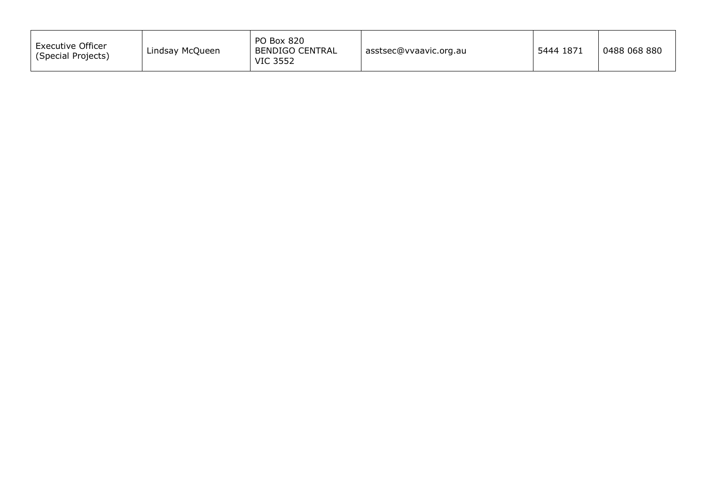| <b>PO Box 820</b><br><b>Executive Officer</b><br>BENDIGO CENTRAL<br>Lindsay McQueen<br>(Special Projects)<br><b>VIC 3552</b> | asstsec@vvaavic.org.au | 5444 1871 | 0488 068 880 |
|------------------------------------------------------------------------------------------------------------------------------|------------------------|-----------|--------------|
|------------------------------------------------------------------------------------------------------------------------------|------------------------|-----------|--------------|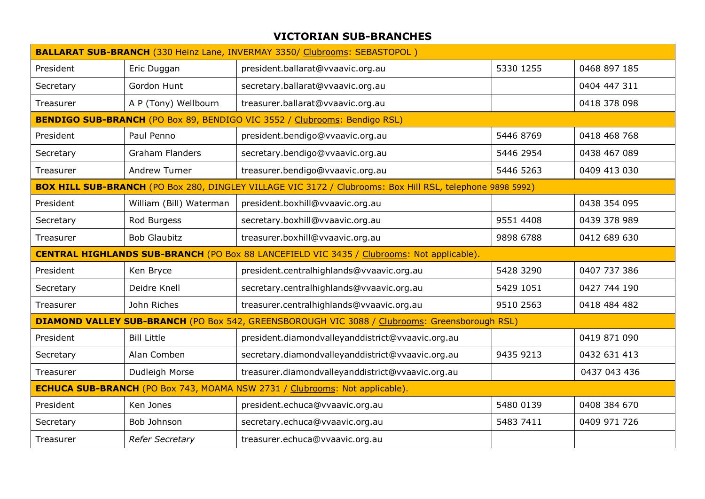## **VICTORIAN SUB-BRANCHES**

| <b>BALLARAT SUB-BRANCH</b> (330 Heinz Lane, INVERMAY 3350/ Clubrooms: SEBASTOPOL)                    |                         |                                                                                                           |           |              |
|------------------------------------------------------------------------------------------------------|-------------------------|-----------------------------------------------------------------------------------------------------------|-----------|--------------|
| President                                                                                            | Eric Duggan             | president.ballarat@vvaavic.org.au                                                                         | 5330 1255 | 0468 897 185 |
| Secretary                                                                                            | Gordon Hunt             | secretary.ballarat@vvaavic.org.au                                                                         |           | 0404 447 311 |
| Treasurer                                                                                            | A P (Tony) Wellbourn    | treasurer.ballarat@vvaavic.org.au                                                                         |           | 0418 378 098 |
|                                                                                                      |                         | <b>BENDIGO SUB-BRANCH (PO Box 89, BENDIGO VIC 3552 / Clubrooms: Bendigo RSL)</b>                          |           |              |
| President                                                                                            | Paul Penno              | president.bendigo@vvaavic.org.au                                                                          | 5446 8769 | 0418 468 768 |
| Secretary                                                                                            | <b>Graham Flanders</b>  | secretary.bendigo@vvaavic.org.au                                                                          | 5446 2954 | 0438 467 089 |
| Treasurer                                                                                            | Andrew Turner           | treasurer.bendigo@vvaavic.org.au                                                                          | 5446 5263 | 0409 413 030 |
|                                                                                                      |                         | BOX HILL SUB-BRANCH (PO Box 280, DINGLEY VILLAGE VIC 3172 / Clubrooms: Box Hill RSL, telephone 9898 5992) |           |              |
| President                                                                                            | William (Bill) Waterman | president.boxhill@vvaavic.org.au                                                                          |           | 0438 354 095 |
| Secretary                                                                                            | Rod Burgess             | secretary.boxhill@vvaavic.org.au                                                                          | 9551 4408 | 0439 378 989 |
| Treasurer                                                                                            | <b>Bob Glaubitz</b>     | treasurer.boxhill@vvaavic.org.au                                                                          | 9898 6788 | 0412 689 630 |
| <b>CENTRAL HIGHLANDS SUB-BRANCH</b> (PO Box 88 LANCEFIELD VIC 3435 / Clubrooms: Not applicable).     |                         |                                                                                                           |           |              |
| President                                                                                            | Ken Bryce               | president.centralhighlands@vvaavic.org.au                                                                 | 5428 3290 | 0407 737 386 |
| Secretary                                                                                            | Deidre Knell            | secretary.centralhighlands@vvaavic.org.au                                                                 | 5429 1051 | 0427 744 190 |
| Treasurer                                                                                            | John Riches             | treasurer.centralhighlands@vvaavic.org.au                                                                 | 9510 2563 | 0418 484 482 |
| <b>DIAMOND VALLEY SUB-BRANCH</b> (PO Box 542, GREENSBOROUGH VIC 3088 / Clubrooms: Greensborough RSL) |                         |                                                                                                           |           |              |
| President                                                                                            | <b>Bill Little</b>      | president.diamondvalleyanddistrict@vvaavic.org.au                                                         |           | 0419 871 090 |
| Secretary                                                                                            | Alan Comben             | secretary.diamondvalleyanddistrict@vvaavic.org.au                                                         | 9435 9213 | 0432 631 413 |
| Treasurer                                                                                            | Dudleigh Morse          | treasurer.diamondvalleyanddistrict@vvaavic.org.au                                                         |           | 0437 043 436 |
| <b>ECHUCA SUB-BRANCH</b> (PO Box 743, MOAMA NSW 2731 / Clubrooms: Not applicable).                   |                         |                                                                                                           |           |              |
| President                                                                                            | Ken Jones               | president.echuca@vvaavic.org.au                                                                           | 5480 0139 | 0408 384 670 |
| Secretary                                                                                            | Bob Johnson             | secretary.echuca@vvaavic.org.au                                                                           | 5483 7411 | 0409 971 726 |
| Treasurer                                                                                            | <b>Refer Secretary</b>  | treasurer.echuca@vvaavic.org.au                                                                           |           |              |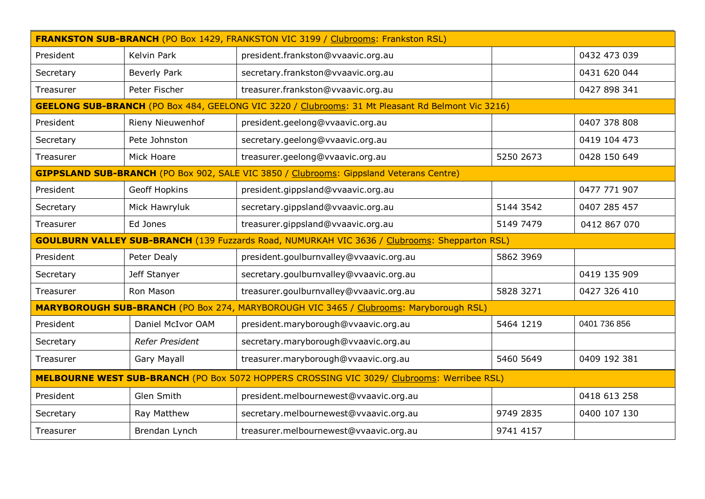| <b>FRANKSTON SUB-BRANCH (PO Box 1429, FRANKSTON VIC 3199 / Clubrooms: Frankston RSL)</b>             |                                                                                        |                                                                                                          |           |              |  |
|------------------------------------------------------------------------------------------------------|----------------------------------------------------------------------------------------|----------------------------------------------------------------------------------------------------------|-----------|--------------|--|
| President                                                                                            | Kelvin Park                                                                            | president.frankston@vvaavic.org.au                                                                       |           | 0432 473 039 |  |
| Secretary                                                                                            | Beverly Park                                                                           | secretary.frankston@vvaavic.org.au                                                                       |           | 0431 620 044 |  |
| Treasurer                                                                                            | Peter Fischer                                                                          | treasurer.frankston@vvaavic.org.au                                                                       |           | 0427 898 341 |  |
|                                                                                                      |                                                                                        | <b>GEELONG SUB-BRANCH</b> (PO Box 484, GEELONG VIC 3220 / Clubrooms: 31 Mt Pleasant Rd Belmont Vic 3216) |           |              |  |
| President                                                                                            | Rieny Nieuwenhof                                                                       | president.geelong@vvaavic.org.au                                                                         |           | 0407 378 808 |  |
| Secretary                                                                                            | Pete Johnston                                                                          | secretary.geelong@vvaavic.org.au                                                                         |           | 0419 104 473 |  |
| Treasurer                                                                                            | Mick Hoare                                                                             | treasurer.geelong@vvaavic.org.au                                                                         | 5250 2673 | 0428 150 649 |  |
|                                                                                                      |                                                                                        | <b>GIPPSLAND SUB-BRANCH</b> (PO Box 902, SALE VIC 3850 / Clubrooms: Gippsland Veterans Centre)           |           |              |  |
| President                                                                                            | Geoff Hopkins                                                                          | president.gippsland@vvaavic.org.au                                                                       |           | 0477 771 907 |  |
| Secretary                                                                                            | Mick Hawryluk                                                                          | secretary.gippsland@vvaavic.org.au                                                                       | 5144 3542 | 0407 285 457 |  |
| Treasurer                                                                                            | Ed Jones                                                                               | treasurer.gippsland@vvaavic.org.au                                                                       | 5149 7479 | 0412 867 070 |  |
| <b>GOULBURN VALLEY SUB-BRANCH</b> (139 Fuzzards Road, NUMURKAH VIC 3636 / Clubrooms: Shepparton RSL) |                                                                                        |                                                                                                          |           |              |  |
| President                                                                                            | Peter Dealy                                                                            | president.goulburnvalley@vvaavic.org.au                                                                  | 5862 3969 |              |  |
| Secretary                                                                                            | Jeff Stanyer                                                                           | secretary.goulburnvalley@vvaavic.org.au                                                                  |           | 0419 135 909 |  |
| Treasurer                                                                                            | Ron Mason                                                                              | treasurer.goulburnvalley@vvaavic.org.au                                                                  | 5828 3271 | 0427 326 410 |  |
|                                                                                                      | MARYBOROUGH SUB-BRANCH (PO Box 274, MARYBOROUGH VIC 3465 / Clubrooms: Maryborough RSL) |                                                                                                          |           |              |  |
| President                                                                                            | Daniel McIvor OAM                                                                      | president.maryborough@vvaavic.org.au                                                                     | 5464 1219 | 0401 736 856 |  |
| Secretary                                                                                            | Refer President                                                                        | secretary.maryborough@vvaavic.org.au                                                                     |           |              |  |
| Treasurer                                                                                            | Gary Mayall                                                                            | treasurer.maryborough@vvaavic.org.au                                                                     | 5460 5649 | 0409 192 381 |  |
| MELBOURNE WEST SUB-BRANCH (PO Box 5072 HOPPERS CROSSING VIC 3029/ Clubrooms: Werribee RSL)           |                                                                                        |                                                                                                          |           |              |  |
| President                                                                                            | Glen Smith                                                                             | president.melbournewest@vvaavic.org.au                                                                   |           | 0418 613 258 |  |
| Secretary                                                                                            | Ray Matthew                                                                            | secretary.melbournewest@vvaavic.org.au                                                                   | 9749 2835 | 0400 107 130 |  |
| Treasurer                                                                                            | Brendan Lynch                                                                          | treasurer.melbournewest@vvaavic.org.au                                                                   | 9741 4157 |              |  |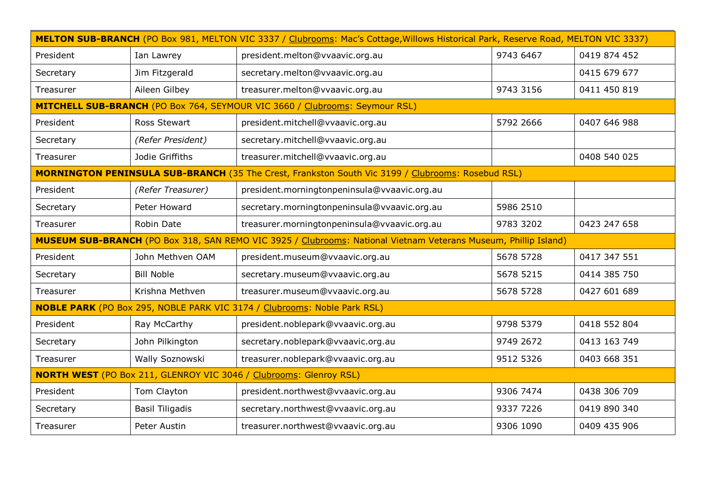| MELTON SUB-BRANCH (PO Box 981, MELTON VIC 3337 / Clubrooms: Mac's Cottage, Willows Historical Park, Reserve Road, MELTON VIC 3337) |                        |                                                                                                   |           |              |
|------------------------------------------------------------------------------------------------------------------------------------|------------------------|---------------------------------------------------------------------------------------------------|-----------|--------------|
| President                                                                                                                          | Ian Lawrey             | president.melton@vvaavic.org.au                                                                   | 9743 6467 | 0419 874 452 |
| Secretary                                                                                                                          | Jim Fitzgerald         | secretary.melton@vvaavic.org.au                                                                   |           | 0415 679 677 |
| Treasurer                                                                                                                          | Aileen Gilbey          | treasurer.melton@vvaavic.org.au                                                                   | 9743 3156 | 0411 450 819 |
|                                                                                                                                    |                        | MITCHELL SUB-BRANCH (PO Box 764, SEYMOUR VIC 3660 / Clubrooms: Seymour RSL)                       |           |              |
| President                                                                                                                          | Ross Stewart           | president.mitchell@vvaavic.org.au                                                                 | 5792 2666 | 0407 646 988 |
| Secretary                                                                                                                          | (Refer President)      | secretary.mitchell@vvaavic.org.au                                                                 |           |              |
| Treasurer                                                                                                                          | Jodie Griffiths        | treasurer.mitchell@vvaavic.org.au                                                                 |           | 0408 540 025 |
|                                                                                                                                    |                        | MORNINGTON PENINSULA SUB-BRANCH (35 The Crest, Frankston South Vic 3199 / Clubrooms: Rosebud RSL) |           |              |
| President                                                                                                                          | (Refer Treasurer)      | president.morningtonpeninsula@vvaavic.org.au                                                      |           |              |
| Secretary                                                                                                                          | Peter Howard           | secretary.morningtonpeninsula@vvaavic.org.au                                                      | 5986 2510 |              |
| Treasurer                                                                                                                          | Robin Date             | treasurer.morningtonpeninsula@vvaavic.org.au                                                      | 9783 3202 | 0423 247 658 |
| MUSEUM SUB-BRANCH (PO Box 318, SAN REMO VIC 3925 / Clubrooms: National Vietnam Veterans Museum, Phillip Island)                    |                        |                                                                                                   |           |              |
| President                                                                                                                          | John Methven OAM       | president.museum@vvaavic.org.au                                                                   | 5678 5728 | 0417 347 551 |
| Secretary                                                                                                                          | <b>Bill Noble</b>      | secretary.museum@vvaavic.org.au                                                                   | 5678 5215 | 0414 385 750 |
| Treasurer                                                                                                                          | Krishna Methven        | treasurer.museum@vvaavic.org.au                                                                   | 5678 5728 | 0427 601 689 |
| <b>NOBLE PARK</b> (PO Box 295, NOBLE PARK VIC 3174 / Clubrooms: Noble Park RSL)                                                    |                        |                                                                                                   |           |              |
| President                                                                                                                          | Ray McCarthy           | president.noblepark@vvaavic.org.au                                                                | 9798 5379 | 0418 552 804 |
| Secretary                                                                                                                          | John Pilkington        | secretary.noblepark@vvaavic.org.au                                                                | 9749 2672 | 0413 163 749 |
| Treasurer                                                                                                                          | Wally Soznowski        | treasurer.noblepark@vvaavic.org.au                                                                | 9512 5326 | 0403 668 351 |
| <b>NORTH WEST</b> (PO Box 211, GLENROY VIC 3046 / Clubrooms: Glenroy RSL)                                                          |                        |                                                                                                   |           |              |
|                                                                                                                                    |                        |                                                                                                   |           |              |
| President                                                                                                                          | Tom Clayton            | president.northwest@vvaavic.org.au                                                                | 9306 7474 | 0438 306 709 |
| Secretary                                                                                                                          | <b>Basil Tiligadis</b> | secretary.northwest@vvaavic.org.au                                                                | 9337 7226 | 0419 890 340 |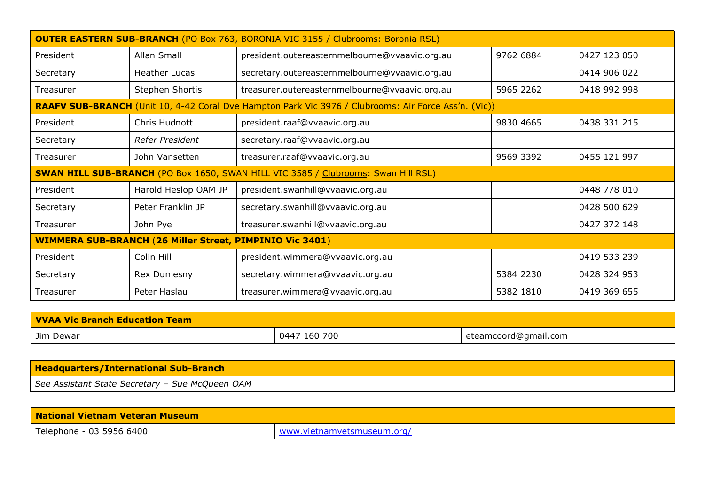| <b>OUTER EASTERN SUB-BRANCH</b> (PO Box 763, BORONIA VIC 3155 / Clubrooms: Boronia RSL)  |                      |                                                                                                      |           |              |
|------------------------------------------------------------------------------------------|----------------------|------------------------------------------------------------------------------------------------------|-----------|--------------|
| President                                                                                | Allan Small          | president.outereasternmelbourne@vvaavic.org.au                                                       | 9762 6884 | 0427 123 050 |
| Secretary                                                                                | <b>Heather Lucas</b> | secretary.outereasternmelbourne@vvaavic.org.au                                                       |           | 0414 906 022 |
| Treasurer                                                                                | Stephen Shortis      | treasurer.outereasternmelbourne@vvaavic.org.au                                                       | 5965 2262 | 0418 992 998 |
|                                                                                          |                      | RAAFV SUB-BRANCH (Unit 10, 4-42 Coral Dve Hampton Park Vic 3976 / Clubrooms: Air Force Ass'n. (Vic)) |           |              |
| President                                                                                | Chris Hudnott        | president.raaf@vvaavic.org.au                                                                        | 9830 4665 | 0438 331 215 |
| Secretary                                                                                | Refer President      | secretary.raaf@vvaavic.org.au                                                                        |           |              |
| Treasurer                                                                                | John Vansetten       | treasurer.raaf@vvaavic.org.au                                                                        | 9569 3392 | 0455 121 997 |
| <b>SWAN HILL SUB-BRANCH</b> (PO Box 1650, SWAN HILL VIC 3585 / Clubrooms: Swan Hill RSL) |                      |                                                                                                      |           |              |
| President                                                                                | Harold Heslop OAM JP | president.swanhill@vvaavic.org.au                                                                    |           | 0448 778 010 |
| Secretary                                                                                | Peter Franklin JP    | secretary.swanhill@vvaavic.org.au                                                                    |           | 0428 500 629 |
| Treasurer                                                                                | John Pye             | treasurer.swanhill@vvaavic.org.au                                                                    |           | 0427 372 148 |
| <b>WIMMERA SUB-BRANCH (26 Miller Street, PIMPINIO Vic 3401)</b>                          |                      |                                                                                                      |           |              |
| President                                                                                | Colin Hill           | president.wimmera@vvaavic.org.au                                                                     |           | 0419 533 239 |
| Secretary                                                                                | Rex Dumesny          | secretary.wimmera@vvaavic.org.au                                                                     | 5384 2230 | 0428 324 953 |
| Treasurer                                                                                | Peter Haslau         | treasurer.wimmera@vvaavic.org.au                                                                     | 5382 1810 | 0419 369 655 |

| <b>VVAA Vic Branch Education Team</b> |              |                      |  |
|---------------------------------------|--------------|----------------------|--|
| Jim Dewar                             | 0447 160 700 | eteamcoord@gmail.com |  |

| <b>Headquarters/International Sub-Branch</b>    |  |
|-------------------------------------------------|--|
| See Assistant State Secretary - Sue McQueen OAM |  |

| <b>National Vietnam Veteran Museum</b> |                            |  |
|----------------------------------------|----------------------------|--|
| Telephone - 03 5956 6400               | www.vietnamvetsmuseum.org/ |  |